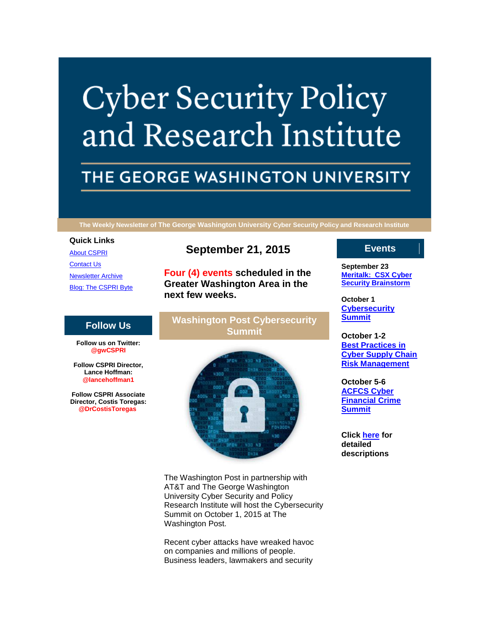# **Cyber Security Policy** and Research Institute

## THE GEORGE WASHINGTON UNIVERSITY

**The Weekly Newsletter of The George Washington University Cyber Security Policy and Research Institute**

#### **Quick Links**

[About CSPRI](http://r20.rs6.net/tn.jsp?f=001XEMukuGJTG1vg5iKMYfn4zCR5Od5DINHsXYiTBwOAC5OtsHrshEi57AwO39c2wPOHW-psw4HoRSrPbqe_4DFy0FsJ4VWNYV98j-IWsBFMoXdF0aI9iaE3skfBwTC2yMZm7Yx8AXDaZ6jm6pvw6SX2fPGGX6F26ULaFzt0rKdgk9gAyWse31TlFqNRBk0gOxp&c=sLc4eMlxkd8Zj7Kc2leNb1-QC3GYjjmEeHZ6v9KCFZh9knyB8hq2Xw==&ch=7x5Inpt5qOHsneuVFKSb5EVvcrnNX8KTBFwtObBJAlOEA9oSob0UwQ==) [Contact Us](http://r20.rs6.net/tn.jsp?f=001XEMukuGJTG1vg5iKMYfn4zCR5Od5DINHsXYiTBwOAC5OtsHrshEi57AwO39c2wPOIdwbhP2STywVXERWt1ZURVzsINd1xdFjnchn6Rla2_N37ndYybZv8Cq2riMObgTR2Jql-tDBjiBgu9M-qHG3LHRzGqd6hjvy2YJA63PewObGFn_zqJ-hMYJUFPeulCPS5eOBDJ-13tQ=&c=sLc4eMlxkd8Zj7Kc2leNb1-QC3GYjjmEeHZ6v9KCFZh9knyB8hq2Xw==&ch=7x5Inpt5qOHsneuVFKSb5EVvcrnNX8KTBFwtObBJAlOEA9oSob0UwQ==) [Newsletter Archive](http://r20.rs6.net/tn.jsp?f=001XEMukuGJTG1vg5iKMYfn4zCR5Od5DINHsXYiTBwOAC5OtsHrshEi57AwO39c2wPO0Gr4nnz4CjO3uxeud9ci-v6Gh0RHdjn1WUiwv-KxEGPzFyUQZ0m_pdeOS7gVpfVEEx7TstMOkaNEIEMFWq3IFQG4Sxco4afqdTlVJQwN4ZoFWOA1XSTq9VNBwPROTe5zLp_KwgaEmO0=&c=sLc4eMlxkd8Zj7Kc2leNb1-QC3GYjjmEeHZ6v9KCFZh9knyB8hq2Xw==&ch=7x5Inpt5qOHsneuVFKSb5EVvcrnNX8KTBFwtObBJAlOEA9oSob0UwQ==) [Blog: The CSPRI Byte](http://r20.rs6.net/tn.jsp?f=001XEMukuGJTG1vg5iKMYfn4zCR5Od5DINHsXYiTBwOAC5OtsHrshEi57AwO39c2wPOY16QhX6J2j58Ejtok_IrqCKnsVqhiSZ5-NmUJ_n-AfvVJDKzdenYL2F2ndd8AKXBLim1lDA9bZB0konqHqE8shBdgBqWnfeACqWc5HwYpInHeFEG7XSFTwJAQT4GzuhS&c=sLc4eMlxkd8Zj7Kc2leNb1-QC3GYjjmEeHZ6v9KCFZh9knyB8hq2Xw==&ch=7x5Inpt5qOHsneuVFKSb5EVvcrnNX8KTBFwtObBJAlOEA9oSob0UwQ==)

#### **Follow Us**

**Follow us on Twitter: @gwCSPRI**

**Follow CSPRI Director, Lance Hoffman: @lancehoffman1**

**Follow CSPRI Associate Director, Costis Toregas: @DrCostisToregas**

### **September 21, 2015**

**Four (4) events scheduled in the Greater Washington Area in the next few weeks.**

#### **Washington Post Cybersecurity Summit**



The Washington Post in partnership with AT&T and The George Washington University Cyber Security and Policy Research Institute will host the Cybersecurity Summit on October 1, 2015 at The Washington Post.

Recent cyber attacks have wreaked havoc on companies and millions of people. Business leaders, lawmakers and security

#### **Events**

**September 23 [Meritalk: CSX Cyber](http://r20.rs6.net/tn.jsp?f=001XEMukuGJTG1vg5iKMYfn4zCR5Od5DINHsXYiTBwOAC5OtsHrshEi54CHMS_hOVEmonXyHXNlHv4nqb9ucRVXq_AIrWMdnF1jyEQAjrvqyT8smBH9LFQb_hwLq9t-1atTWXHwBZ4THsz5ybZYfOpFIdZJg5MxJ4QB7_pWsghy_WZwfUykq0_vFdF5mQosK9lH0OR9sZkUIyc=&c=sLc4eMlxkd8Zj7Kc2leNb1-QC3GYjjmEeHZ6v9KCFZh9knyB8hq2Xw==&ch=7x5Inpt5qOHsneuVFKSb5EVvcrnNX8KTBFwtObBJAlOEA9oSob0UwQ==)  [Security Brainstorm](http://r20.rs6.net/tn.jsp?f=001XEMukuGJTG1vg5iKMYfn4zCR5Od5DINHsXYiTBwOAC5OtsHrshEi54CHMS_hOVEmonXyHXNlHv4nqb9ucRVXq_AIrWMdnF1jyEQAjrvqyT8smBH9LFQb_hwLq9t-1atTWXHwBZ4THsz5ybZYfOpFIdZJg5MxJ4QB7_pWsghy_WZwfUykq0_vFdF5mQosK9lH0OR9sZkUIyc=&c=sLc4eMlxkd8Zj7Kc2leNb1-QC3GYjjmEeHZ6v9KCFZh9knyB8hq2Xw==&ch=7x5Inpt5qOHsneuVFKSb5EVvcrnNX8KTBFwtObBJAlOEA9oSob0UwQ==)**

**October 1 [Cybersecurity](http://r20.rs6.net/tn.jsp?f=001XEMukuGJTG1vg5iKMYfn4zCR5Od5DINHsXYiTBwOAC5OtsHrshEi54CHMS_hOVEmonXyHXNlHv4nqb9ucRVXq_AIrWMdnF1jyEQAjrvqyT8smBH9LFQb_hwLq9t-1atTWXHwBZ4THsz5ybZYfOpFIdZJg5MxJ4QB7_pWsghy_WZwfUykq0_vFdF5mQosK9lH0OR9sZkUIyc=&c=sLc4eMlxkd8Zj7Kc2leNb1-QC3GYjjmEeHZ6v9KCFZh9knyB8hq2Xw==&ch=7x5Inpt5qOHsneuVFKSb5EVvcrnNX8KTBFwtObBJAlOEA9oSob0UwQ==)  [Summit](http://r20.rs6.net/tn.jsp?f=001XEMukuGJTG1vg5iKMYfn4zCR5Od5DINHsXYiTBwOAC5OtsHrshEi54CHMS_hOVEmonXyHXNlHv4nqb9ucRVXq_AIrWMdnF1jyEQAjrvqyT8smBH9LFQb_hwLq9t-1atTWXHwBZ4THsz5ybZYfOpFIdZJg5MxJ4QB7_pWsghy_WZwfUykq0_vFdF5mQosK9lH0OR9sZkUIyc=&c=sLc4eMlxkd8Zj7Kc2leNb1-QC3GYjjmEeHZ6v9KCFZh9knyB8hq2Xw==&ch=7x5Inpt5qOHsneuVFKSb5EVvcrnNX8KTBFwtObBJAlOEA9oSob0UwQ==)**

**October 1-2 [Best Practices in](http://r20.rs6.net/tn.jsp?f=001XEMukuGJTG1vg5iKMYfn4zCR5Od5DINHsXYiTBwOAC5OtsHrshEi54CHMS_hOVEmonXyHXNlHv4nqb9ucRVXq_AIrWMdnF1jyEQAjrvqyT8smBH9LFQb_hwLq9t-1atTWXHwBZ4THsz5ybZYfOpFIdZJg5MxJ4QB7_pWsghy_WZwfUykq0_vFdF5mQosK9lH0OR9sZkUIyc=&c=sLc4eMlxkd8Zj7Kc2leNb1-QC3GYjjmEeHZ6v9KCFZh9knyB8hq2Xw==&ch=7x5Inpt5qOHsneuVFKSb5EVvcrnNX8KTBFwtObBJAlOEA9oSob0UwQ==)  [Cyber Supply Chain](http://r20.rs6.net/tn.jsp?f=001XEMukuGJTG1vg5iKMYfn4zCR5Od5DINHsXYiTBwOAC5OtsHrshEi54CHMS_hOVEmonXyHXNlHv4nqb9ucRVXq_AIrWMdnF1jyEQAjrvqyT8smBH9LFQb_hwLq9t-1atTWXHwBZ4THsz5ybZYfOpFIdZJg5MxJ4QB7_pWsghy_WZwfUykq0_vFdF5mQosK9lH0OR9sZkUIyc=&c=sLc4eMlxkd8Zj7Kc2leNb1-QC3GYjjmEeHZ6v9KCFZh9knyB8hq2Xw==&ch=7x5Inpt5qOHsneuVFKSb5EVvcrnNX8KTBFwtObBJAlOEA9oSob0UwQ==)  [Risk Management](http://r20.rs6.net/tn.jsp?f=001XEMukuGJTG1vg5iKMYfn4zCR5Od5DINHsXYiTBwOAC5OtsHrshEi54CHMS_hOVEmonXyHXNlHv4nqb9ucRVXq_AIrWMdnF1jyEQAjrvqyT8smBH9LFQb_hwLq9t-1atTWXHwBZ4THsz5ybZYfOpFIdZJg5MxJ4QB7_pWsghy_WZwfUykq0_vFdF5mQosK9lH0OR9sZkUIyc=&c=sLc4eMlxkd8Zj7Kc2leNb1-QC3GYjjmEeHZ6v9KCFZh9knyB8hq2Xw==&ch=7x5Inpt5qOHsneuVFKSb5EVvcrnNX8KTBFwtObBJAlOEA9oSob0UwQ==)**

**October 5-6 [ACFCS Cyber](http://r20.rs6.net/tn.jsp?f=001XEMukuGJTG1vg5iKMYfn4zCR5Od5DINHsXYiTBwOAC5OtsHrshEi54CHMS_hOVEmonXyHXNlHv4nqb9ucRVXq_AIrWMdnF1jyEQAjrvqyT8smBH9LFQb_hwLq9t-1atTWXHwBZ4THsz5ybZYfOpFIdZJg5MxJ4QB7_pWsghy_WZwfUykq0_vFdF5mQosK9lH0OR9sZkUIyc=&c=sLc4eMlxkd8Zj7Kc2leNb1-QC3GYjjmEeHZ6v9KCFZh9knyB8hq2Xw==&ch=7x5Inpt5qOHsneuVFKSb5EVvcrnNX8KTBFwtObBJAlOEA9oSob0UwQ==)  [Financial Crime](http://r20.rs6.net/tn.jsp?f=001XEMukuGJTG1vg5iKMYfn4zCR5Od5DINHsXYiTBwOAC5OtsHrshEi54CHMS_hOVEmonXyHXNlHv4nqb9ucRVXq_AIrWMdnF1jyEQAjrvqyT8smBH9LFQb_hwLq9t-1atTWXHwBZ4THsz5ybZYfOpFIdZJg5MxJ4QB7_pWsghy_WZwfUykq0_vFdF5mQosK9lH0OR9sZkUIyc=&c=sLc4eMlxkd8Zj7Kc2leNb1-QC3GYjjmEeHZ6v9KCFZh9knyB8hq2Xw==&ch=7x5Inpt5qOHsneuVFKSb5EVvcrnNX8KTBFwtObBJAlOEA9oSob0UwQ==)  [Summit](http://r20.rs6.net/tn.jsp?f=001XEMukuGJTG1vg5iKMYfn4zCR5Od5DINHsXYiTBwOAC5OtsHrshEi54CHMS_hOVEmonXyHXNlHv4nqb9ucRVXq_AIrWMdnF1jyEQAjrvqyT8smBH9LFQb_hwLq9t-1atTWXHwBZ4THsz5ybZYfOpFIdZJg5MxJ4QB7_pWsghy_WZwfUykq0_vFdF5mQosK9lH0OR9sZkUIyc=&c=sLc4eMlxkd8Zj7Kc2leNb1-QC3GYjjmEeHZ6v9KCFZh9knyB8hq2Xw==&ch=7x5Inpt5qOHsneuVFKSb5EVvcrnNX8KTBFwtObBJAlOEA9oSob0UwQ==)**

**Click [here](http://r20.rs6.net/tn.jsp?f=001XEMukuGJTG1vg5iKMYfn4zCR5Od5DINHsXYiTBwOAC5OtsHrshEi57AwO39c2wPO2w-6GfdXDaB1SejfWZCFkaZOgdWkLM_GdOGeEoKqKPGHfVEKqE_t-n74-ItCTPP4hRcOQq4eQszvQhRu0AjNyWHXxXdxHc5KO3zl7iXH-WITozMH02YcW29v5AY1JYiK4tUEQ_oqQC4Y8rJDc4xBxw==&c=sLc4eMlxkd8Zj7Kc2leNb1-QC3GYjjmEeHZ6v9KCFZh9knyB8hq2Xw==&ch=7x5Inpt5qOHsneuVFKSb5EVvcrnNX8KTBFwtObBJAlOEA9oSob0UwQ==) for detailed descriptions**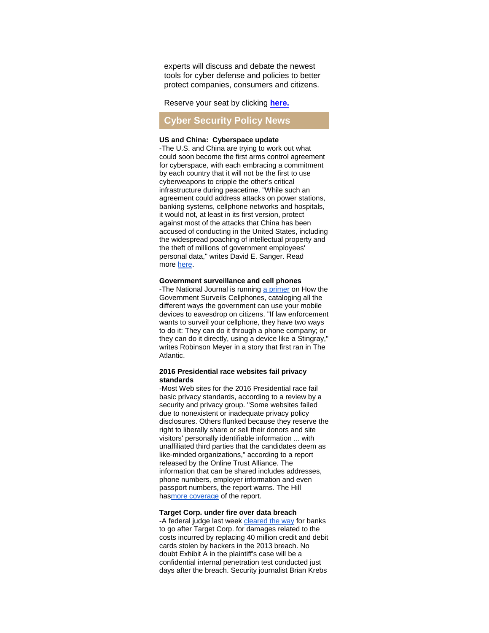experts will discuss and debate the newest tools for cyber defense and policies to better protect companies, consumers and citizens.

Reserve your seat by clicking **[here.](http://r20.rs6.net/tn.jsp?f=001XEMukuGJTG1vg5iKMYfn4zCR5Od5DINHsXYiTBwOAC5OtsHrshEi56dfZ7EAvNJze2zNIx9Nt2epljumbN0FRp33kN299KKNCc3MIfN0GmQmUUTRzcpAskjBKtO1kyWSx8paYmfHWBcJnK5w3DyKIuubHnMSuSGmkhBH61aUxjj_dsyiN6cnNaPJEY0vDjB4k4jCUJHN-_Czy7IXql4QpE0ZqbfRQqioYdGL8r5MnhIPjSTKfNR4nzhDczSfv0o5KIljRHQM1h3KleTNRvy9QQ==&c=sLc4eMlxkd8Zj7Kc2leNb1-QC3GYjjmEeHZ6v9KCFZh9knyB8hq2Xw==&ch=7x5Inpt5qOHsneuVFKSb5EVvcrnNX8KTBFwtObBJAlOEA9oSob0UwQ==)**

#### **Cyber Security Policy News**

#### **US and China: Cyberspace update**

-The U.S. and China are trying to work out what could soon become the first arms control agreement for cyberspace, with each embracing a commitment by each country that it will not be the first to use cyberweapons to cripple the other's critical infrastructure during peacetime. "While such an agreement could address attacks on power stations, banking systems, cellphone networks and hospitals, it would not, at least in its first version, protect against most of the attacks that China has been accused of conducting in the United States, including the widespread poaching of intellectual property and the theft of millions of government employees' personal data," writes David E. Sanger. Read more [here.](http://r20.rs6.net/tn.jsp?f=001XEMukuGJTG1vg5iKMYfn4zCR5Od5DINHsXYiTBwOAC5OtsHrshEi56dfZ7EAvNJzMVl7CYx5JFWeE7yXdFp1oyniExvAnwOIuzar_fDhju0US4OHCc6tsIKzsKCv3fGxXEtny1r7OezJ81k46tpDXHJXwjAq_P_5dhGJumt80SpQ6WTEe6ovHpJ0ghqYaCR3wZJV7zta06ltwA3vREvhoIWqlrW9yHYtux8Lan8HY5mneBMvNfVi0IVl-FTqy6lQy7RMadHJhNlkIvT0zMPMbOjE7OK2-hzn2Tzr4dwq9RhBv0VUakxHEJ2-2QMsJDFwAeTRc1IQo5I=&c=sLc4eMlxkd8Zj7Kc2leNb1-QC3GYjjmEeHZ6v9KCFZh9knyB8hq2Xw==&ch=7x5Inpt5qOHsneuVFKSb5EVvcrnNX8KTBFwtObBJAlOEA9oSob0UwQ==)

#### **Government surveillance and cell phones**

-The National Journal is running [a primer](http://r20.rs6.net/tn.jsp?f=001XEMukuGJTG1vg5iKMYfn4zCR5Od5DINHsXYiTBwOAC5OtsHrshEi56dfZ7EAvNJzUPkMmxYr2gJh8XG5RP2JZUQnFzSAfFWn0U2GstrDVKrvP2UMViQKfhiu-6UkGN9uIwnDUDb_ZLVWm8JFE-DI7sdZtXq-lw5pOdVTlNTdgLStdLWas6IeApMrG5R_JYe7DQaLIta-vXdQbJvY_yZqdhecsUi70mR8Ab0Fz9AZxum67K3SwAVSmBG9Z9cJPe5rOnPKpPekxvyLHSlwS-POfRmhI_YwuweH&c=sLc4eMlxkd8Zj7Kc2leNb1-QC3GYjjmEeHZ6v9KCFZh9knyB8hq2Xw==&ch=7x5Inpt5qOHsneuVFKSb5EVvcrnNX8KTBFwtObBJAlOEA9oSob0UwQ==) on How the Government Surveils Cellphones, cataloging all the different ways the government can use your mobile devices to eavesdrop on citizens. "If law enforcement wants to surveil your cellphone, they have two ways to do it: They can do it through a phone company; or they can do it directly, using a device like a Stingray," writes Robinson Meyer in a story that first ran in The Atlantic.

#### **2016 Presidential race websites fail privacy standards**

-Most Web sites for the 2016 Presidential race fail basic privacy standards, according to a review by a security and privacy group. "Some websites failed due to nonexistent or inadequate privacy policy disclosures. Others flunked because they reserve the right to liberally share or sell their donors and site visitors' personally identifiable information ... with unaffiliated third parties that the candidates deem as like-minded organizations," according to a report released by the Online Trust Alliance. The information that can be shared includes addresses, phone numbers, employer information and even passport numbers, the report warns. The Hill ha[smore coverage](http://r20.rs6.net/tn.jsp?f=001XEMukuGJTG1vg5iKMYfn4zCR5Od5DINHsXYiTBwOAC5OtsHrshEi56dfZ7EAvNJz8wPrEHDfpPxnzSef4sd_bunPa_Tgl4ElyoraYTVWt0HUKKLMLwlFiXxILhUvPI5O-vKR3UYTccc5MtQCGTO_s03rYEegOeJnQIB8eQ2NtYPpnSpLcnIa5Pj7GzXW_G8F3mji5UfV8tJiJahYNuhFTkBQQhON2BLTuC1DTGq7y_sB_3DioQPCm7V6L9tvlh4XipyVGmMm__U2ZAmeMw2PnyXZsEjWUUXV&c=sLc4eMlxkd8Zj7Kc2leNb1-QC3GYjjmEeHZ6v9KCFZh9knyB8hq2Xw==&ch=7x5Inpt5qOHsneuVFKSb5EVvcrnNX8KTBFwtObBJAlOEA9oSob0UwQ==) of the report.

#### **Target Corp. under fire over data breach**

-A federal judge last week [cleared the way](http://r20.rs6.net/tn.jsp?f=001XEMukuGJTG1vg5iKMYfn4zCR5Od5DINHsXYiTBwOAC5OtsHrshEi56dfZ7EAvNJzbBekdUiV9vYVw8EtpTgFXXmHNTsAzDbMBaLIY6J8nffCaCeeb7LL3bnf_d0cp3LvBThn3XCQwl2YYX1KB8dYPP1nH0BQYMIwqZrwL03zRnFptK1tDxU4o9fUC8MZSQAchyoUMyYQ-tk2NNeyKK2vAyOzpQ45yEiY_JXamZ1GEb3LqIZLgT3mjNrEm2Z9UB0FfOU1hErrr0YD7qBHmRbIAdxyNSfFKuw3&c=sLc4eMlxkd8Zj7Kc2leNb1-QC3GYjjmEeHZ6v9KCFZh9knyB8hq2Xw==&ch=7x5Inpt5qOHsneuVFKSb5EVvcrnNX8KTBFwtObBJAlOEA9oSob0UwQ==) for banks to go after Target Corp. for damages related to the costs incurred by replacing 40 million credit and debit cards stolen by hackers in the 2013 breach. No doubt Exhibit A in the plaintiff's case will be a confidential internal penetration test conducted just days after the breach. Security journalist Brian Krebs